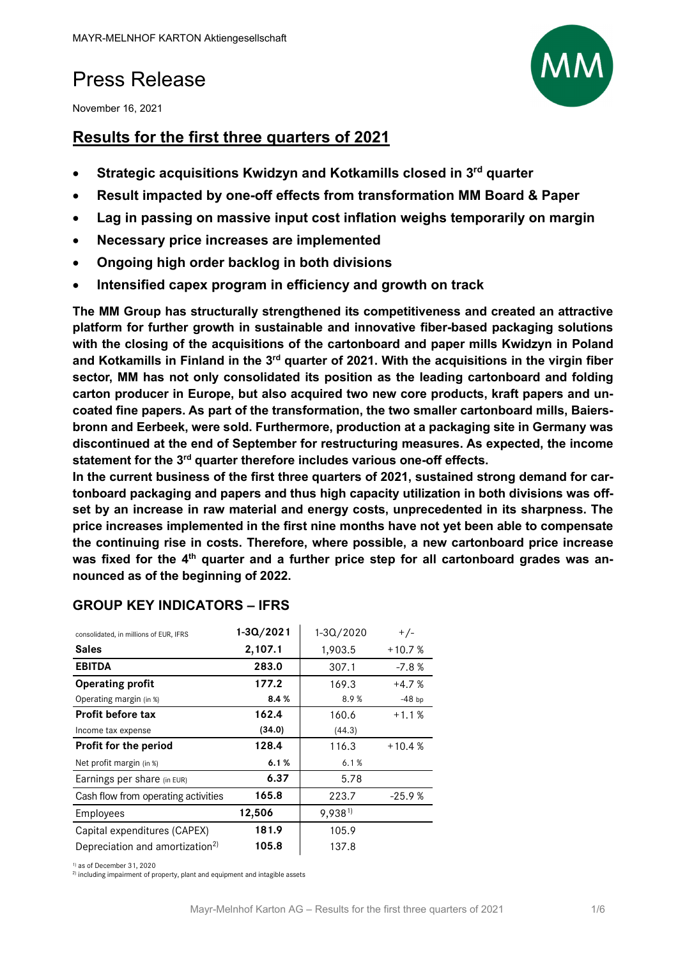## Press Release

November 16, 2021

## **Results for the first three quarters of 2021**

- **Strategic acquisitions Kwidzyn and Kotkamills closed in 3rd quarter**
- **Result impacted by one-off effects from transformation MM Board & Paper**
- **Lag in passing on massive input cost inflation weighs temporarily on margin**
- **Necessary price increases are implemented**
- **Ongoing high order backlog in both divisions**
- **Intensified capex program in efficiency and growth on track**

**The MM Group has structurally strengthened its competitiveness and created an attractive platform for further growth in sustainable and innovative fiber-based packaging solutions with the closing of the acquisitions of the cartonboard and paper mills Kwidzyn in Poland and Kotkamills in Finland in the 3rd quarter of 2021. With the acquisitions in the virgin fiber sector, MM has not only consolidated its position as the leading cartonboard and folding carton producer in Europe, but also acquired two new core products, kraft papers and uncoated fine papers. As part of the transformation, the two smaller cartonboard mills, Baiersbronn and Eerbeek, were sold. Furthermore, production at a packaging site in Germany was discontinued at the end of September for restructuring measures. As expected, the income statement for the 3rd quarter therefore includes various one-off effects.** 

**In the current business of the first three quarters of 2021, sustained strong demand for cartonboard packaging and papers and thus high capacity utilization in both divisions was offset by an increase in raw material and energy costs, unprecedented in its sharpness. The price increases implemented in the first nine months have not yet been able to compensate the continuing rise in costs. Therefore, where possible, a new cartonboard price increase**  was fixed for the 4<sup>th</sup> quarter and a further price step for all cartonboard grades was an**nounced as of the beginning of 2022.** 

| consolidated, in millions of EUR, IFRS      | $1 - 30/2021$ | 1-3Q/2020 | $+/-$    |
|---------------------------------------------|---------------|-----------|----------|
| <b>Sales</b>                                | 2,107.1       | 1,903.5   | $+10.7%$ |
| <b>EBITDA</b>                               | 283.0         | 307.1     | $-7.8%$  |
| <b>Operating profit</b>                     | 177.2         | 169.3     | $+4.7%$  |
| Operating margin (in %)                     | 8.4%          | 8.9%      | $-48$ bp |
| Profit before tax                           | 162.4         | 160.6     | $+1.1%$  |
| Income tax expense                          | (34.0)        | (44.3)    |          |
| Profit for the period                       | 128.4         | 116.3     | $+10.4%$ |
| Net profit margin (in %)                    | 6.1%          | 6.1%      |          |
| Earnings per share (in EUR)                 | 6.37          | 5.78      |          |
| Cash flow from operating activities         | 165.8         | 223.7     | $-25.9%$ |
| Employees                                   | 12,506        | 9,9381)   |          |
| Capital expenditures (CAPEX)                | 181.9         | 105.9     |          |
| Depreciation and amortization <sup>2)</sup> | 105.8         | 137.8     |          |

#### **GROUP KEY INDICATORS – IFRS**

1) as of December 31, 2020

2) including impairment of property, plant and equipment and intagible assets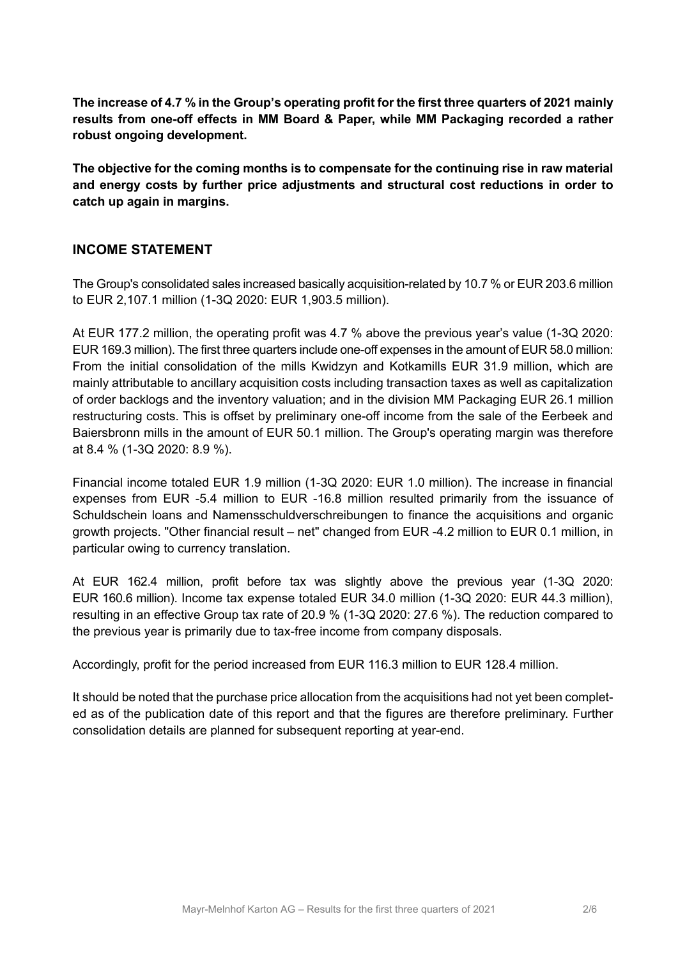**The increase of 4.7 % in the Group's operating profit for the first three quarters of 2021 mainly results from one-off effects in MM Board & Paper, while MM Packaging recorded a rather robust ongoing development.** 

**The objective for the coming months is to compensate for the continuing rise in raw material and energy costs by further price adjustments and structural cost reductions in order to catch up again in margins.** 

#### **INCOME STATEMENT**

The Group's consolidated sales increased basically acquisition-related by 10.7 % or EUR 203.6 million to EUR 2,107.1 million (1-3Q 2020: EUR 1,903.5 million).

At EUR 177.2 million, the operating profit was 4.7 % above the previous year's value (1-3Q 2020: EUR 169.3 million). The first three quarters include one-off expenses in the amount of EUR 58.0 million: From the initial consolidation of the mills Kwidzyn and Kotkamills EUR 31.9 million, which are mainly attributable to ancillary acquisition costs including transaction taxes as well as capitalization of order backlogs and the inventory valuation; and in the division MM Packaging EUR 26.1 million restructuring costs. This is offset by preliminary one-off income from the sale of the Eerbeek and Baiersbronn mills in the amount of EUR 50.1 million. The Group's operating margin was therefore at 8.4 % (1-3Q 2020: 8.9 %).

Financial income totaled EUR 1.9 million (1-3Q 2020: EUR 1.0 million). The increase in financial expenses from EUR -5.4 million to EUR -16.8 million resulted primarily from the issuance of Schuldschein loans and Namensschuldverschreibungen to finance the acquisitions and organic growth projects. "Other financial result – net" changed from EUR -4.2 million to EUR 0.1 million, in particular owing to currency translation.

At EUR 162.4 million, profit before tax was slightly above the previous year (1-3Q 2020: EUR 160.6 million). Income tax expense totaled EUR 34.0 million (1-3Q 2020: EUR 44.3 million), resulting in an effective Group tax rate of 20.9 % (1-3Q 2020: 27.6 %). The reduction compared to the previous year is primarily due to tax-free income from company disposals.

Accordingly, profit for the period increased from EUR 116.3 million to EUR 128.4 million.

It should be noted that the purchase price allocation from the acquisitions had not yet been completed as of the publication date of this report and that the figures are therefore preliminary. Further consolidation details are planned for subsequent reporting at year-end.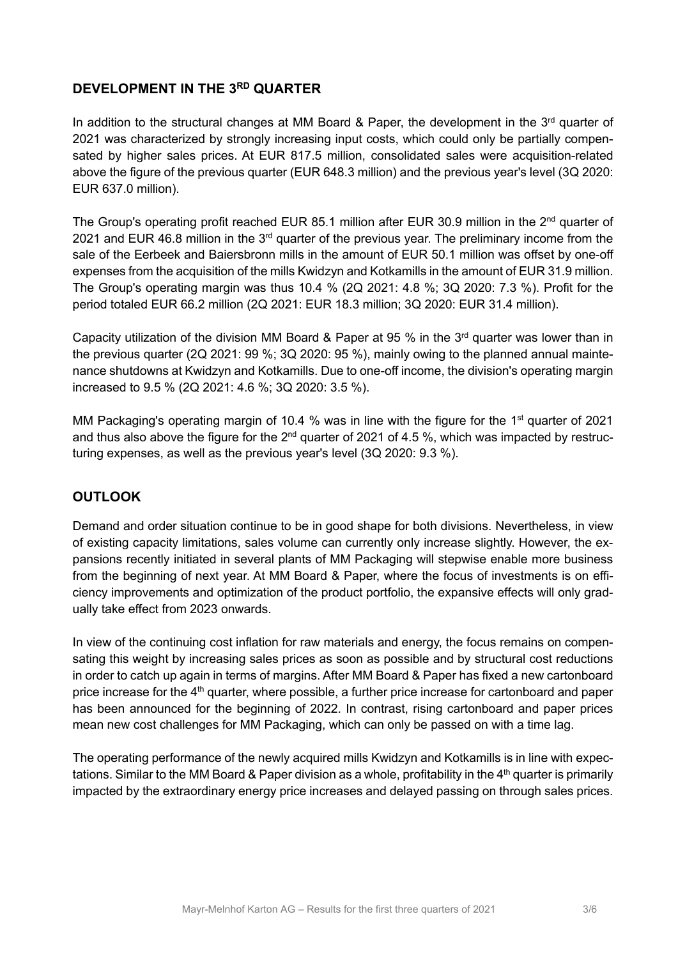#### **DEVELOPMENT IN THE 3RD QUARTER**

In addition to the structural changes at MM Board & Paper, the development in the  $3<sup>rd</sup>$  quarter of 2021 was characterized by strongly increasing input costs, which could only be partially compensated by higher sales prices. At EUR 817.5 million, consolidated sales were acquisition-related above the figure of the previous quarter (EUR 648.3 million) and the previous year's level (3Q 2020: EUR 637.0 million).

The Group's operating profit reached EUR 85.1 million after EUR 30.9 million in the 2<sup>nd</sup> quarter of 2021 and EUR 46.8 million in the 3<sup>rd</sup> quarter of the previous year. The preliminary income from the sale of the Eerbeek and Baiersbronn mills in the amount of EUR 50.1 million was offset by one-off expenses from the acquisition of the mills Kwidzyn and Kotkamills in the amount of EUR 31.9 million. The Group's operating margin was thus 10.4 % (2Q 2021: 4.8 %; 3Q 2020: 7.3 %). Profit for the period totaled EUR 66.2 million (2Q 2021: EUR 18.3 million; 3Q 2020: EUR 31.4 million).

Capacity utilization of the division MM Board & Paper at 95 % in the 3<sup>rd</sup> quarter was lower than in the previous quarter (2Q 2021: 99 %; 3Q 2020: 95 %), mainly owing to the planned annual maintenance shutdowns at Kwidzyn and Kotkamills. Due to one-off income, the division's operating margin increased to 9.5 % (2Q 2021: 4.6 %; 3Q 2020: 3.5 %).

MM Packaging's operating margin of 10.4 % was in line with the figure for the 1<sup>st</sup> guarter of 2021 and thus also above the figure for the  $2^{nd}$  quarter of 2021 of 4.5 %, which was impacted by restructuring expenses, as well as the previous year's level (3Q 2020: 9.3 %).

#### **OUTLOOK**

Demand and order situation continue to be in good shape for both divisions. Nevertheless, in view of existing capacity limitations, sales volume can currently only increase slightly. However, the expansions recently initiated in several plants of MM Packaging will stepwise enable more business from the beginning of next year. At MM Board & Paper, where the focus of investments is on efficiency improvements and optimization of the product portfolio, the expansive effects will only gradually take effect from 2023 onwards.

In view of the continuing cost inflation for raw materials and energy, the focus remains on compensating this weight by increasing sales prices as soon as possible and by structural cost reductions in order to catch up again in terms of margins. After MM Board & Paper has fixed a new cartonboard price increase for the 4<sup>th</sup> quarter, where possible, a further price increase for cartonboard and paper has been announced for the beginning of 2022. In contrast, rising cartonboard and paper prices mean new cost challenges for MM Packaging, which can only be passed on with a time lag.

The operating performance of the newly acquired mills Kwidzyn and Kotkamills is in line with expectations. Similar to the MM Board & Paper division as a whole, profitability in the  $4<sup>th</sup>$  quarter is primarily impacted by the extraordinary energy price increases and delayed passing on through sales prices.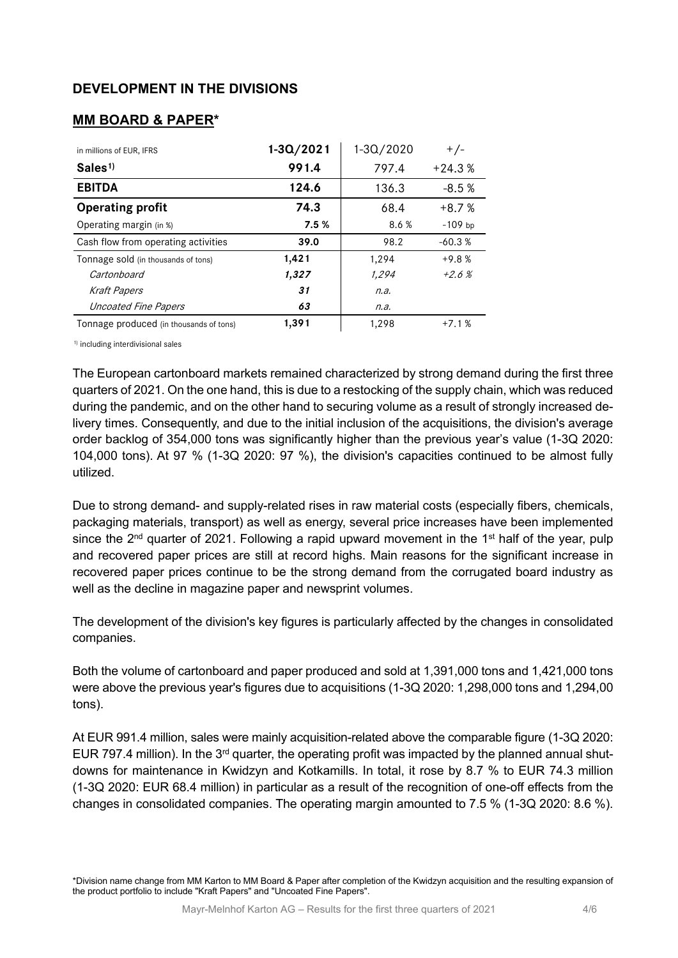#### **DEVELOPMENT IN THE DIVISIONS**

#### **MM BOARD & PAPER\***

| in millions of EUR, IFRS                | $1 - 30/2021$ | 1-3Q/2020 | $+/-$     |
|-----------------------------------------|---------------|-----------|-----------|
| Sales <sup>1</sup>                      | 991.4         | 797.4     | $+24.3%$  |
| <b>EBITDA</b>                           | 124.6         | 136.3     | $-8.5%$   |
| <b>Operating profit</b>                 | 74.3          | 68.4      | $+8.7%$   |
| Operating margin (in %)                 | 7.5%          | 8.6 %     | $-109$ bp |
| Cash flow from operating activities     | 39.0          | 98.2      | $-60.3%$  |
| Tonnage sold (in thousands of tons)     | 1,421         | 1,294     | $+9.8%$   |
| Cartonboard                             | 1,327         | 1,294     | $+2.6%$   |
| <b>Kraft Papers</b>                     | 31            | n.a.      |           |
| Uncoated Fine Papers                    | 63            | n.a.      |           |
| Tonnage produced (in thousands of tons) | 1,391         | 1,298     | $+7.1%$   |

1) including interdivisional sales

The European cartonboard markets remained characterized by strong demand during the first three quarters of 2021. On the one hand, this is due to a restocking of the supply chain, which was reduced during the pandemic, and on the other hand to securing volume as a result of strongly increased delivery times. Consequently, and due to the initial inclusion of the acquisitions, the division's average order backlog of 354,000 tons was significantly higher than the previous year's value (1-3Q 2020: 104,000 tons). At 97 % (1-3Q 2020: 97 %), the division's capacities continued to be almost fully utilized.

Due to strong demand- and supply-related rises in raw material costs (especially fibers, chemicals, packaging materials, transport) as well as energy, several price increases have been implemented since the  $2<sup>nd</sup>$  quarter of 2021. Following a rapid upward movement in the 1<sup>st</sup> half of the year, pulp and recovered paper prices are still at record highs. Main reasons for the significant increase in recovered paper prices continue to be the strong demand from the corrugated board industry as well as the decline in magazine paper and newsprint volumes.

The development of the division's key figures is particularly affected by the changes in consolidated companies.

Both the volume of cartonboard and paper produced and sold at 1,391,000 tons and 1,421,000 tons were above the previous year's figures due to acquisitions (1-3Q 2020: 1,298,000 tons and 1,294,00 tons).

At EUR 991.4 million, sales were mainly acquisition-related above the comparable figure (1-3Q 2020: EUR 797.4 million). In the 3<sup>rd</sup> quarter, the operating profit was impacted by the planned annual shutdowns for maintenance in Kwidzyn and Kotkamills. In total, it rose by 8.7 % to EUR 74.3 million (1-3Q 2020: EUR 68.4 million) in particular as a result of the recognition of one-off effects from the changes in consolidated companies. The operating margin amounted to 7.5 % (1-3Q 2020: 8.6 %).

\*Division name change from MM Karton to MM Board & Paper after completion of the Kwidzyn acquisition and the resulting expansion of the product portfolio to include "Kraft Papers" and "Uncoated Fine Papers".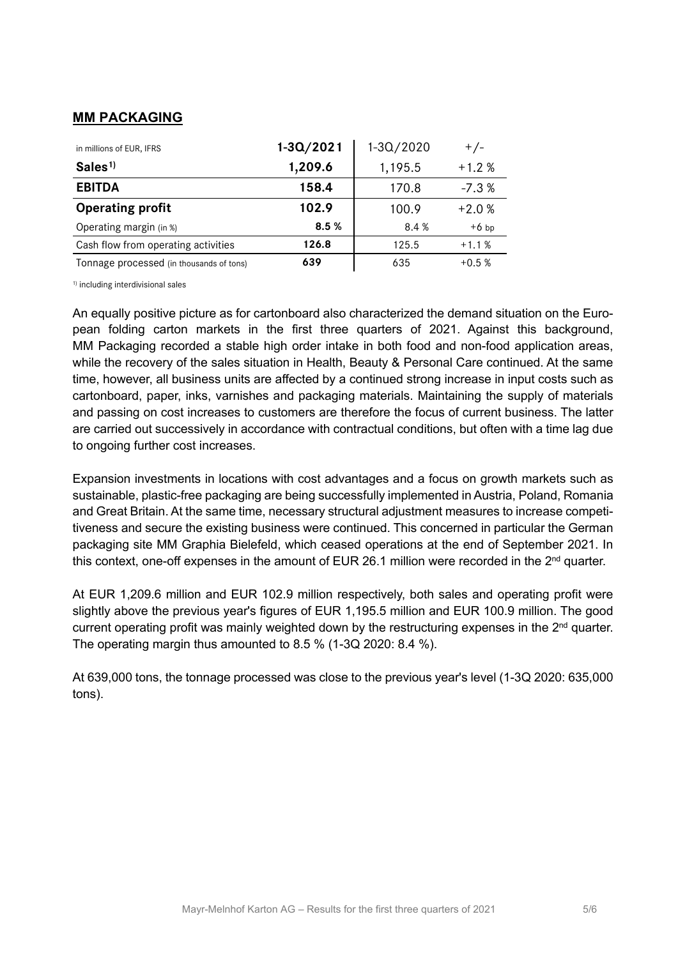### **MM PACKAGING**

| in millions of EUR, IFRS                 | $1 - 3Q / 2021$ | 1-3Q/2020 | $+/-$   |
|------------------------------------------|-----------------|-----------|---------|
| Sales <sup>1</sup>                       | 1,209.6         | 1,195.5   | $+1.2%$ |
| <b>EBITDA</b>                            | 158.4           | 170.8     | $-7.3%$ |
| <b>Operating profit</b>                  | 102.9           | 100.9     | $+2.0%$ |
| Operating margin (in %)                  | 8.5%            | 8.4 %     | $+6$ bp |
| Cash flow from operating activities      | 126.8           | 125.5     | $+1.1%$ |
| Tonnage processed (in thousands of tons) | 639             | 635       | $+0.5%$ |

1) including interdivisional sales

An equally positive picture as for cartonboard also characterized the demand situation on the European folding carton markets in the first three quarters of 2021. Against this background, MM Packaging recorded a stable high order intake in both food and non-food application areas, while the recovery of the sales situation in Health, Beauty & Personal Care continued. At the same time, however, all business units are affected by a continued strong increase in input costs such as cartonboard, paper, inks, varnishes and packaging materials. Maintaining the supply of materials and passing on cost increases to customers are therefore the focus of current business. The latter are carried out successively in accordance with contractual conditions, but often with a time lag due to ongoing further cost increases.

Expansion investments in locations with cost advantages and a focus on growth markets such as sustainable, plastic-free packaging are being successfully implemented in Austria, Poland, Romania and Great Britain. At the same time, necessary structural adjustment measures to increase competitiveness and secure the existing business were continued. This concerned in particular the German packaging site MM Graphia Bielefeld, which ceased operations at the end of September 2021. In this context, one-off expenses in the amount of EUR 26.1 million were recorded in the  $2<sup>nd</sup>$  quarter.

At EUR 1,209.6 million and EUR 102.9 million respectively, both sales and operating profit were slightly above the previous year's figures of EUR 1,195.5 million and EUR 100.9 million. The good current operating profit was mainly weighted down by the restructuring expenses in the 2<sup>nd</sup> quarter. The operating margin thus amounted to 8.5 % (1-3Q 2020: 8.4 %).

At 639,000 tons, the tonnage processed was close to the previous year's level (1-3Q 2020: 635,000 tons).